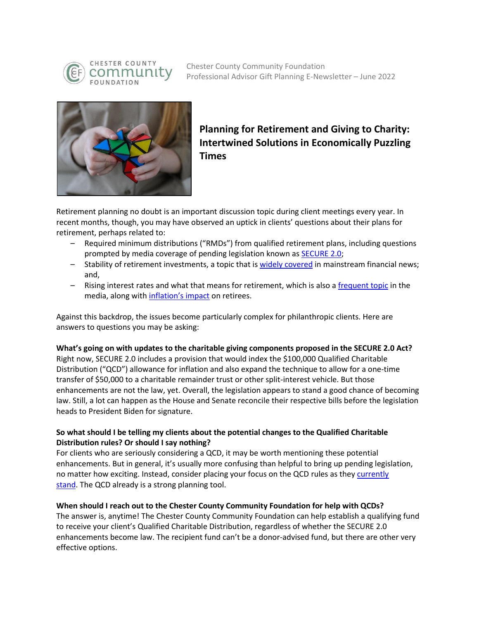

Chester County Community Foundation Professional Advisor Gift Planning E-Newsletter – June 2022



# **Planning for Retirement and Giving to Charity: Intertwined Solutions in Economically Puzzling Times**

Retirement planning no doubt is an important discussion topic during client meetings every year. In recent months, though, you may have observed an uptick in clients' questions about their plans for retirement, perhaps related to:

- Required minimum distributions ("RMDs") from qualified retirement plans, including questions prompted by media coverage of pending legislation known as **SECURE 2.0**;
- Stability of retirement investments, a topic that is *widely covered* in mainstream financial news; and,
- Rising interest rates and what that means for retirement, which is also a [frequent topic](https://www.cnbc.com/2022/05/12/retiring-soon-with-a-pension-how-interest-rates-affect-your-benefits.html) in the media, along with [inflation's impact](https://www.cnbc.com/2022/05/17/what-experts-say-to-do-with-your-retirement-savings-amid-inflation.html) on retirees.

Against this backdrop, the issues become particularly complex for philanthropic clients. Here are answers to questions you may be asking:

## **What's going on with updates to the charitable giving components proposed in the SECURE 2.0 Act?**

Right now, SECURE 2.0 includes a provision that would index the \$100,000 Qualified Charitable Distribution ("QCD") allowance for inflation and also expand the technique to allow for a one-time transfer of \$50,000 to a charitable remainder trust or other split-interest vehicle. But those enhancements are not the law, yet. Overall, the legislation appears to stand a good chance of becoming law. Still, a lot can happen as the House and Senate reconcile their respective bills before the legislation heads to President Biden for signature.

## **So what should I be telling my clients about the potential changes to the Qualified Charitable Distribution rules? Or should I say nothing?**

For clients who are seriously considering a QCD, it may be worth mentioning these potential enhancements. But in general, it's usually more confusing than helpful to bring up pending legislation, no matter how exciting. Instead, consider placing your focus on the QCD rules as the[y currently](https://www.irs.gov/retirement-plans/retirement-plans-faqs-regarding-iras-distributions-withdrawals)  [stand.](https://www.irs.gov/retirement-plans/retirement-plans-faqs-regarding-iras-distributions-withdrawals) The QCD already is a strong planning tool.

#### **When should I reach out to the Chester County Community Foundation for help with QCDs?**

The answer is, anytime! The Chester County Community Foundation can help establish a qualifying fund to receive your client's Qualified Charitable Distribution, regardless of whether the SECURE 2.0 enhancements become law. The recipient fund can't be a donor-advised fund, but there are other very effective options.